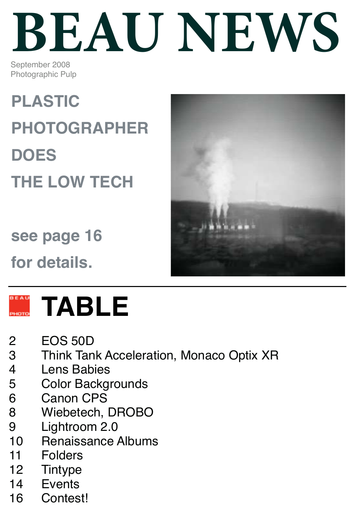# **BEAU NEWS**

September 2008 Photographic Pulp

**PLASTIC PHOTOGRAPHER DOES THE LOW TECH**

**see page 16**

**for details.**





### **TABLE**

- 2 EOS 50D<br>3 Think Tan
- 3 Think Tank Acceleration, Monaco Optix XR<br>4 Lens Babies
- **Lens Babies**
- 5 Color Backgrounds
- 6 Canon CPS<br>8 Wiebetech
- Wiebetech, DROBO
- 9 Lightroom 2.0
- 10 Renaissance Albums
- 11 Folders
- 12 Tintype
- 14 Events
- 16 Contest!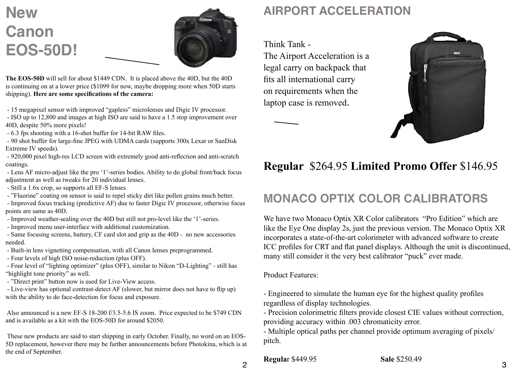### **New Canon EOS-50D!**



**The EOS-50D** will sell for about \$1449 CDN. It is placed above the 40D, but the 40D is continuing on at a lower price (\$1099 for now, maybe dropping more when 50D starts shipping). **Here are some specifications of the camera:**

- 15 megapixel sensor with improved "gapless" microlenses and Digic IV processor.

- ISO up to 12,800 and images at high ISO are said to have a 1.5 stop improvement over 40D, despite 50% more pixels!

- 6.3 fps shooting with a 16-shot buffer for 14-bit RAW files.

 - 90 shot buffer for large-fine JPEG with UDMA cards (supports 300x Lexar or SanDisk Extreme IV speeds).

 - 920,000 pixel high-res LCD screen with extremely good anti-reflection and anti-scratch coatings.

 - Lens AF micro-adjust like the pro '1'-series bodies. Ability to do global front/back focus adjustment as well as tweaks for 20 individual lenses.

- Still a 1.6x crop, so supports all EF-S lenses
- "Fluorine" coating on sensor is said to repel sticky dirt like pollen grains much better.

 - Improved focus tracking (predictive AF) due to faster Digic IV processor, otherwise focus points are same as 40D.

- Improved weather-sealing over the 40D but still not pro-level like the '1'-series.
- Improved menu user-interface with additional customization.

 - Same focusing screens, battery, CF card slot and grip as the 40D - no new accessories needed.

- Built-in lens vignetting compensation, with all Canon lenses preprogrammed.

- Four levels of high ISO noise-reduction (plus OFF).

 - Four level of "lighting optimizer" (plus OFF), similar to Nikon "D-Lighting" - still has "highlight tone priority" as well.

- "Direct print" button now is used for Live-View access.

 - Live-view has optional contrast-detect AF (slower, but mirror does not have to flip up) with the ability to do face-detection for focus and exposure.

 Also announced is a new EF-S 18-200 f/3.5-5.6 IS zoom. Price expected to be \$749 CDN and is available as a kit with the EOS-50D for around \$2050.

 These new products are said to start shipping in early October. Finally, no word on an EOS-5D replacement, however there may be further announcements before Photokina, which is at the end of September.

### **AIRPORT ACCELERATION**

Think Tank - The Airport Acceleration is a legal carry on backpack that fits all international carry on requirements when the laptop case is removed.



### **Regular** \$264.95 **Limited Promo Offer** \$146.95

### **MONACO OPTIX COLOR CALIBRATORS**

We have two Monaco Optix XR Color calibrators "Pro Edition" which are like the Eye One display 2s, just the previous version. The Monaco Optix XR incorporates a state-of-the-art colorimeter with advanced software to create ICC profiles for CRT and flat panel displays. Although the unit is discontinued, many still consider it the very best calibrator "puck" ever made.

Product Features:

- Engineered to simulate the human eye for the highest quality profiles regardless of display technologies.

- Precision colorimetric filters provide closest CIE values without correction, providing accuracy within .003 chromaticity error.

- Multiple optical paths per channel provide optimum averaging of pixels/ pitch.

**Regula**r \$449.95 **Sale** \$250.49

2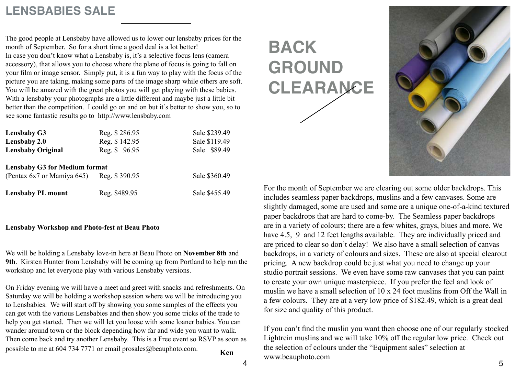### **LENSBABIES SALE**

The good people at Lensbaby have allowed us to lower our lensbaby prices for the month of September. So for a short time a good deal is a lot better! In case you don't know what a Lensbaby is, it's a selective focus lens (camera accessory), that allows you to choose where the plane of focus is going to fall on your film or image sensor. Simply put, it is a fun way to play with the focus of the picture you are taking, making some parts of the image sharp while others are soft. You will be amazed with the great photos you will get playing with these babies. With a lensbaby your photographs are a little different and maybe just a little bit better than the competition. I could go on and on but it's better to show you, so to see some fantastic results go to http://www.lensbaby.com

| <b>Lensbaby G3</b><br>Lensbaby 2.0<br><b>Lensbaby Original</b>                   | Reg. \$286.95<br>Reg. \$142.95<br>Reg. \$96.95 | Sale \$239.49<br>Sale \$119.49<br>Sale \$89.49 |
|----------------------------------------------------------------------------------|------------------------------------------------|------------------------------------------------|
| <b>Lensbaby G3 for Medium format</b><br>(Pentax 6x7 or Mamiya 645) Reg. \$390.95 |                                                | Sale \$360.49                                  |
| <b>Lensbaby PL mount</b>                                                         | Reg. \$489.95                                  | Sale \$455.49                                  |

#### **Lensbaby Workshop and Photo-fest at Beau Photo**

We will be holding a Lensbaby love-in here at Beau Photo on **November 8th** and **9th**. Kirsten Hunter from Lensbaby will be coming up from Portland to help run the workshop and let everyone play with various Lensbaby versions.

On Friday evening we will have a meet and greet with snacks and refreshments. On Saturday we will be holding a workshop session where we will be introducing you to Lensbabies. We will start off by showing you some samples of the effects you can get with the various Lensbabies and then show you some tricks of the trade to help you get started. Then we will let you loose with some loaner babies. You can wander around town or the block depending how far and wide you want to walk. Then come back and try another Lensbaby. This is a Free event so RSVP as soon as possible to me at 604 734 7771 or email prosales@beauphoto.com. **Ken** 

**BACK GROUND CLEARANCE**



For the month of September we are clearing out some older backdrops. This includes seamless paper backdrops, muslins and a few canvases. Some are slightly damaged, some are used and some are a unique one-of-a-kind textured paper backdrops that are hard to come-by. The Seamless paper backdrops are in a variety of colours; there are a few whites, grays, blues and more. We have 4.5, 9 and 12 feet lengths available. They are individually priced and are priced to clear so don't delay! We also have a small selection of canvas backdrops, in a variety of colours and sizes. These are also at special clearout pricing. A new backdrop could be just what you need to change up your studio portrait sessions. We even have some raw canvases that you can paint to create your own unique masterpiece. If you prefer the feel and look of muslin we have a small selection of 10 x 24 foot muslins from Off the Wall in a few colours. They are at a very low price of \$182.49, which is a great deal for size and quality of this product.

If you can't find the muslin you want then choose one of our regularly stocked Lightrein muslins and we will take 10% off the regular low price. Check out the selection of colours under the "Equipment sales" selection at www.beauphoto.com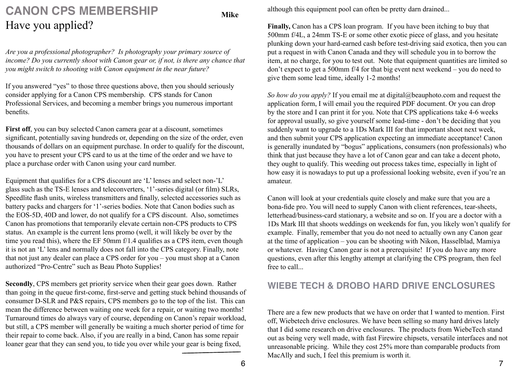### **CANON CPS MEMBERSHIP**  Have you applied?

*Are you a professional photographer? Is photography your primary source of income? Do you currently shoot with Canon gear or, if not, is there any chance that you might switch to shooting with Canon equipment in the near future?*

If you answered "yes" to those three questions above, then you should seriously consider applying for a Canon CPS membership. CPS stands for Canon Professional Services, and becoming a member brings you numerous important benefits.

First off, you can buy selected Canon camera gear at a discount, sometimes significant, potentially saving hundreds or, depending on the size of the order, even thousands of dollars on an equipment purchase. In order to qualify for the discount, you have to present your CPS card to us at the time of the order and we have to place a purchase order with Canon using your card number.

Equipment that qualifies for a CPS discount are 'L' lenses and select non-'L' glass such as the TS-E lenses and teleconverters, '1'-series digital (or film) SLRs, Speedlite flash units, wireless transmitters and finally, selected accessories such as battery packs and chargers for '1'-series bodies. Note that Canon bodies such as the EOS-5D, 40D and lower, do not qualify for a CPS discount. Also, sometimes Canon has promotions that temporarily elevate certain non-CPS products to CPS status. An example is the current lens promo (well, it will likely be over by the time you read this), where the EF 50mm f/1.4 qualifies as a CPS item, even though it is not an 'L' lens and normally does not fall into the CPS category. Finally, note that not just any dealer can place a CPS order for you – you must shop at a Canon authorized "Pro-Centre" such as Beau Photo Supplies!

**Secondly**, CPS members get priority service when their gear goes down. Rather than going in the queue first-come, first-serve and getting stuck behind thousands of consumer D-SLR and P&S repairs, CPS members go to the top of the list. This can mean the difference between waiting one week for a repair, or waiting two months! Turnaround times do always vary of course, depending on Canon's repair workload, but still, a CPS member will generally be waiting a much shorter period of time for their repair to come back. Also, if you are really in a bind, Canon has some repair loaner gear that they can send you, to tide you over while your gear is being fixed,

although this equipment pool can often be pretty darn drained...

**Finally,** Canon has a CPS loan program. If you have been itching to buy that 500mm f/4L, a 24mm TS-E or some other exotic piece of glass, and you hesitate plunking down your hard-earned cash before test-driving said exotica, then you can put a request in with Canon Canada and they will schedule you in to borrow the item, at no charge, for you to test out. Note that equipment quantities are limited so don't expect to get a 500mm f/4 for that big event next weekend – you do need to give them some lead time, ideally 1-2 months!

*So how do you apply?* If you email me at digital@beauphoto.com and request the application form, I will email you the required PDF document. Or you can drop by the store and I can print it for you. Note that CPS applications take 4-6 weeks for approval usually, so give yourself some lead-time - don't be deciding that you suddenly want to upgrade to a 1Ds Mark III for that important shoot next week, and then submit your CPS application expecting an immediate acceptance! Canon is generally inundated by "bogus" applications, consumers (non professionals) who think that just because they have a lot of Canon gear and can take a decent photo, they ought to qualify. This weeding out process takes time, especially in light of how easy it is nowadays to put up a professional looking website, even if you're an amateur.

Canon will look at your credentials quite closely and make sure that you are a bona-fide pro. You will need to supply Canon with client references, tear-sheets, letterhead/business-card stationary, a website and so on. If you are a doctor with a 1Ds Mark III that shoots weddings on weekends for fun, you likely won't qualify for example. Finally, remember that you do not need to actually own any Canon gear at the time of application – you can be shooting with Nikon, Hasselblad, Mamiya or whatever. Having Canon gear is not a prerequisite! If you do have any more questions, even after this lengthy attempt at clarifying the CPS program, then feel free to call...

#### **WIEBE TECH & DROBO HARD DRIVE ENCLOSURES**

There are a few new products that we have on order that I wanted to mention. First off, Wiebetech drive enclosures. We have been selling so many hard drives lately that I did some research on drive enclosures. The products from WiebeTech stand out as being very well made, with fast Firewire chipsets, versatile interfaces and not unreasonable pricing. While they cost 25% more than comparable products from MacAlly and such, I feel this premium is worth it.

**Mike**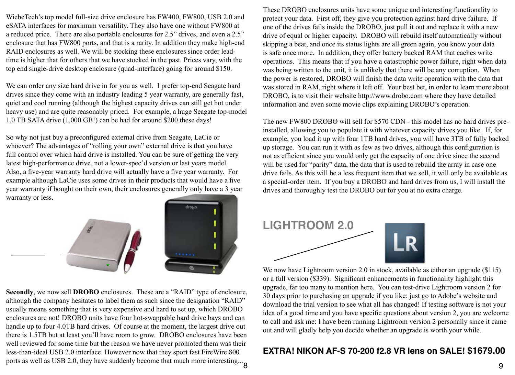WiebeTech's top model full-size drive enclosure has FW400, FW800, USB 2.0 and eSATA interfaces for maximum versatility. They also have one without FW800 at a reduced price. There are also portable enclosures for 2.5" drives, and even a 2.5" enclosure that has FW800 ports, and that is a rarity. In addition they make high-end RAID enclosures as well. We will be stocking these enclosures since order leadtime is higher that for others that we have stocked in the past. Prices vary, with the top end single-drive desktop enclosure (quad-interface) going for around \$150.

We can order any size hard drive in for you as well. I prefer top-end Seagate hard drives since they come with an industry leading 5 year warranty, are generally fast, quiet and cool running (although the highest capacity drives can still get hot under heavy use) and are quite reasonably priced. For example, a huge Seagate top-model 1.0 TB SATA drive (1,000 GB!) can be had for around \$200 these days!

So why not just buy a preconfigured external drive from Seagate, LaCie or whoever? The advantages of "rolling your own" external drive is that you have full control over which hard drive is installed. You can be sure of getting the very latest high-performance drive, not a lower-spec'd version or last years model. Also, a five-year warranty hard drive will actually have a five year warranty. For example although LaCie uses some drives in their products that would have a five year warranty if bought on their own, their enclosures generally only have a 3 year warranty or less.



**Secondly**, we now sell **DROBO** enclosures. These are a "RAID" type of enclosure, although the company hesitates to label them as such since the designation "RAID" usually means something that is very expensive and hard to set up, which DROBO enclosures are not! DROBO units have four hot-swappable hard drive bays and can handle up to four 4.0TB hard drives. Of course at the moment, the largest drive out there is 1.5TB but at least you'll have room to grow. DROBO enclosures have been well reviewed for some time but the reason we have never promoted them was their less-than-ideal USB 2.0 interface. However now that they sport fast FireWire 800 ports as well as USB 2.0, they have suddenly become that much more interesting... $\mathbf{8}$  These DROBO enclosures units have some unique and interesting functionality to protect your data. First off, they give you protection against hard drive failure. If one of the drives fails inside the DROBO, just pull it out and replace it with a new drive of equal or higher capacity. DROBO will rebuild itself automatically without skipping a beat, and once its status lights are all green again, you know your data is safe once more. In addition, they offer battery backed RAM that caches write operations. This means that if you have a catastrophic power failure, right when data was being written to the unit, it is unlikely that there will be any corruption. When the power is restored, DROBO will finish the data write operation with the data that was stored in RAM, right where it left off. Your best bet, in order to learn more about DROBO, is to visit their website http://www.drobo.com where they have detailed information and even some movie clips explaining DROBO's operation.

The new FW800 DROBO will sell for \$570 CDN - this model has no hard drives preinstalled, allowing you to populate it with whatever capacity drives you like. If, for example, you load it up with four 1TB hard drives, you will have 3TB of fully backed up storage. You can run it with as few as two drives, although this configuration is not as efficient since you would only get the capacity of one drive since the second will be used for "parity" data, the data that is used to rebuild the array in case one drive fails. As this will be a less frequent item that we sell, it will only be available as a special-order item. If you buy a DROBO and hard drives from us, I will install the drives and thoroughly test the DROBO out for you at no extra charge.





We now have Lightroom version 2.0 in stock, available as either an upgrade (\$115) or a full version (\$339). Significant enhancements in functionality highlight this upgrade, far too many to mention here. You can test-drive Lightroom version 2 for 30 days prior to purchasing an upgrade if you like: just go to Adobe's website and download the trial version to see what all has changed! If testing software is not your idea of a good time and you have specific questions about version 2, you are welcome to call and ask me: I have been running Lightroom version 2 personally since it came out and will gladly help you decide whether an upgrade is worth your while.

#### **EXTRA! NIKON AF-S 70-200 f2.8 VR lens on SALE! \$1679.00**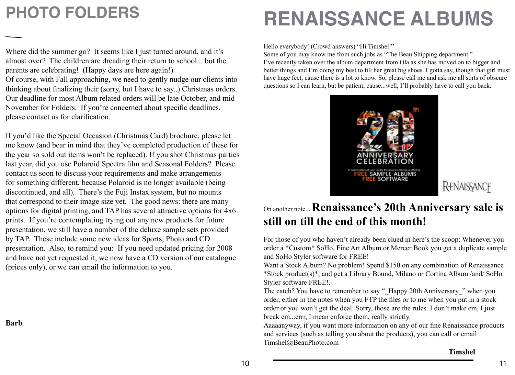### **PHOTO FOLDERS**

Where did the summer go? It seems like I just turned around, and it's almost over? The children are dreading their return to school... but the parents are celebrating! (Happy days are here again!)

Of course, with Fall approaching, we need to gently nudge our clients into thinking about finalizing their (sorry, but I have to say..) Christmas orders. Our deadline for most Album related orders will be late October, and mid November for Folders. If you're concerned about specific deadlines, please contact us for clarification.

If you'd like the Special Occasion (Christmas Card) brochure, please let me know (and bear in mind that they've completed production of these for the year so sold out items won't be replaced). If you shot Christmas parties last year, did you use Polaroid Spectra film and Seasonal Folders? Please contact us soon to discuss your requirements and make arrangements for something different, because Polaroid is no longer available (being discontinued, and all). There's the Fuji Instax system, but no mounts that correspond to their image size yet. The good news: there are many options for digital printing, and TAP has several attractive options for 4x6 prints. If you're contemplating trying out any new products for future presentation, we still have a number of the deluxe sample sets provided by TAP. These include some new ideas for Sports, Photo and CD presentation. Also, to remind you: If you need updated pricing for 2008 and have not yet requested it, we now have a CD version of our catalogue (prices only), or we can email the information to you.

**Barb**

### **RENAISSANCE ALBUMS**

Hello everybody! (Crowd answers) "Hi Timshel!"

Some of you may know me from such jobs as "The Beau Shipping department." I've recently taken over the album department from Ola as she has moved on to bigger and better things and I'm doing my best to fill her great big shoes. I gotta say, though that girl must have huge feet, cause there is a lot to know. So, please call me and ask me all sorts of obscure questions so I can learn, but be patient, cause...well, I'll probably have to call you back.



### On another note... **Renaissance's 20th Anniversary sale is still on till the end of this month!**

For those of you who haven't already been clued in here's the scoop: Whenever you order a \*Custom\* SoHo, Fine Art Album or Mercer Book you get a duplicate sample and SoHo Styler software for FREE!

Want a Stock Album? No problem! Spend \$150 on any combination of Renaissance \*Stock product(s)\*, and get a Library Bound, Milano or Cortina Album /and/ SoHo Styler software FREE!.

The catch? You have to remember to say "\_Happy 20th Anniversary\_" when you order, either in the notes when you FTP the files or to me when you put in a stock order or you won't get the deal. Sorry, those are the rules. I don't make em, I just break em...errr, I mean enforce them, really strictly.

Aaaaanyway, if you want more information on any of our fine Renaissance products and services (such as telling you about the products), you can call or email Timshel@BeauPhoto.com

#### **Timshel**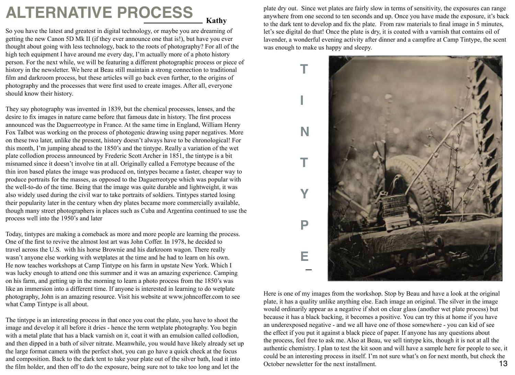### **ALTERNATIVE PROCESS Kathy**

So you have the latest and greatest in digital technology, or maybe you are dreaming of getting the new Canon 5D Mk II (if they ever announce one that is!), but have you ever thought about going with less technology, back to the roots of photography? For all of the high tech equipment I have around me every day, I'm actually more of a photo history person. For the next while, we will be featuring a different photographic process or piece of history in the newsletter. We here at Beau still maintain a strong connection to traditional film and darkroom process, but these articles will go back even further, to the origins of photography and the processes that were first used to create images. After all, everyone should know their history.

They say photography was invented in 1839, but the chemical processes, lenses, and the desire to fix images in nature came before that famous date in history. The first process announced was the Daguerreotype in France. At the same time in England, William Henry Fox Talbot was working on the process of photogenic drawing using paper negatives. More on these two later, unlike the present, history doesn't always have to be chronological! For this month, I'm jumping ahead to the 1850's and the tintype. Really a variation of the wet plate collodion process announced by Frederic Scott Archer in 1851, the tintype is a bit misnamed since it doesn't involve tin at all. Originally called a Ferrotype because of the thin iron based plates the image was produced on, tintypes became a faster, cheaper way to produce portraits for the masses, as opposed to the Daguerreotype which was popular with the well-to-do of the time. Being that the image was quite durable and lightweight, it was also widely used during the civil war to take portraits of soldiers. Tintypes started losing their popularity later in the century when dry plates became more commercially available, though many street photographers in places such as Cuba and Argentina continued to use the process well into the 1950's and later

Today, tintypes are making a comeback as more and more people are learning the process. One of the first to revive the almost lost art was John Coffer. In 1978, he decided to travel across the U.S. with his horse Brownie and his darkroom wagon. There really wasn't anyone else working with wetplates at the time and he had to learn on his own. He now teaches workshops at Camp Tintype on his farm in upstate New York. Which I was lucky enough to attend one this summer and it was an amazing experience. Camping on his farm, and getting up in the morning to learn a photo process from the 1850's was like an immersion into a different time. If anyone is interested in learning to do wetplate photography, John is an amazing resource. Visit his website at www.johncoffer.com to see what Camp Tintype is all about.

The tintype is an interesting process in that once you coat the plate, you have to shoot the image and develop it all before it dries - hence the term wetplate photography. You begin with a metal plate that has a black varnish on it, coat it with an emulsion called collodion, and then dipped in a bath of silver nitrate. Meanwhile, you would have likely already set up the large format camera with the perfect shot, you can go have a quick check at the focus and composition. Back to the dark tent to take your plate out of the silver bath, load it into the film holder, and then off to do the exposure, being sure not to take too long and let the

plate dry out. Since wet plates are fairly slow in terms of sensitivity, the exposures can range anywhere from one second to ten seconds and up. Once you have made the exposure, it's back to the dark tent to develop and fix the plate. From raw materials to final image in 5 minutes, let's see digital do that! Once the plate is dry, it is coated with a varnish that contains oil of lavender, a wonderful evening activity after dinner and a campfire at Camp Tintype, the scent was enough to make us happy and sleepy.



Here is one of my images from the workshop. Stop by Beau and have a look at the original plate, it has a quality unlike anything else. Each image an original. The silver in the image would ordinarily appear as a negative if shot on clear glass (another wet plate process) but because it has a black backing, it becomes a positive. You can try this at home if you have an underexposed negative - and we all have one of those somewhere - you can kid of see the effect if you put it against a black piece of paper. If anyone has any questions about the process, feel free to ask me. Also at Beau, we sell tintype kits, though it is not at all the authentic chemistry. I plan to test the kit soon and will have a sample here for people to see, it could be an interesting process in itself. I'm not sure what's on for next month, but check the October newsletter for the next installment. 13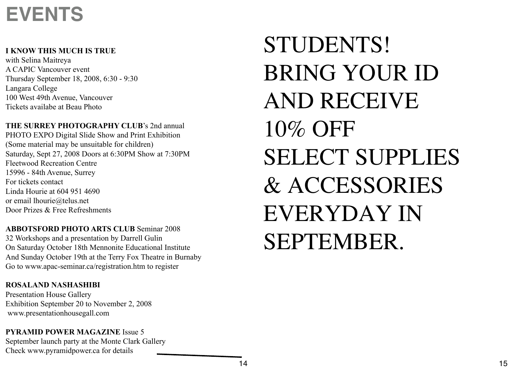### **EVENTS**

### **I KNOW THIS MUCH IS TRUE**

with Selina Maitreya A CAPIC Vancouver event Thursday September 18, 2008, 6:30 - 9:30 Langara College 100 West 49th Avenue, Vancouver Tickets availabe at Beau Photo

**THE SURREY PHOTOGRAPHY CLUB**'s 2nd annual

PHOTO EXPO Digital Slide Show and Print Exhibition (Some material may be unsuitable for children) Saturday, Sept 27, 2008 Doors at 6:30PM Show at 7:30PM Fleetwood Recreation Centre 15996 - 84th Avenue, Surrey For tickets contact Linda Hourie at 604 951 4690 or email lhourie@telus.net Door Prizes & Free Refreshments

**ABBOTSFORD PHOTO ARTS CLUB** Seminar 2008 32 Workshops and a presentation by Darrell Gulin On Saturday October 18th Mennonite Educational Institute And Sunday October 19th at the Terry Fox Theatre in Burnaby Go to www.apac-seminar.ca/registration.htm to register

### **ROSALAND NASHASHIBI**

Presentation House Gallery Exhibition September 20 to November 2, 2008 www.presentationhousegall.com

**PYRAMID POWER MAGAZINE** Issue 5 September launch party at the Monte Clark Gallery Check www.pyramidpower.ca for details

### STUDENTS! BRING YOUR ID AND RECEIVE 10% OFF SELECT SUPPLIES & ACCESSORIES EVERYDAY IN SEPTEMBER.